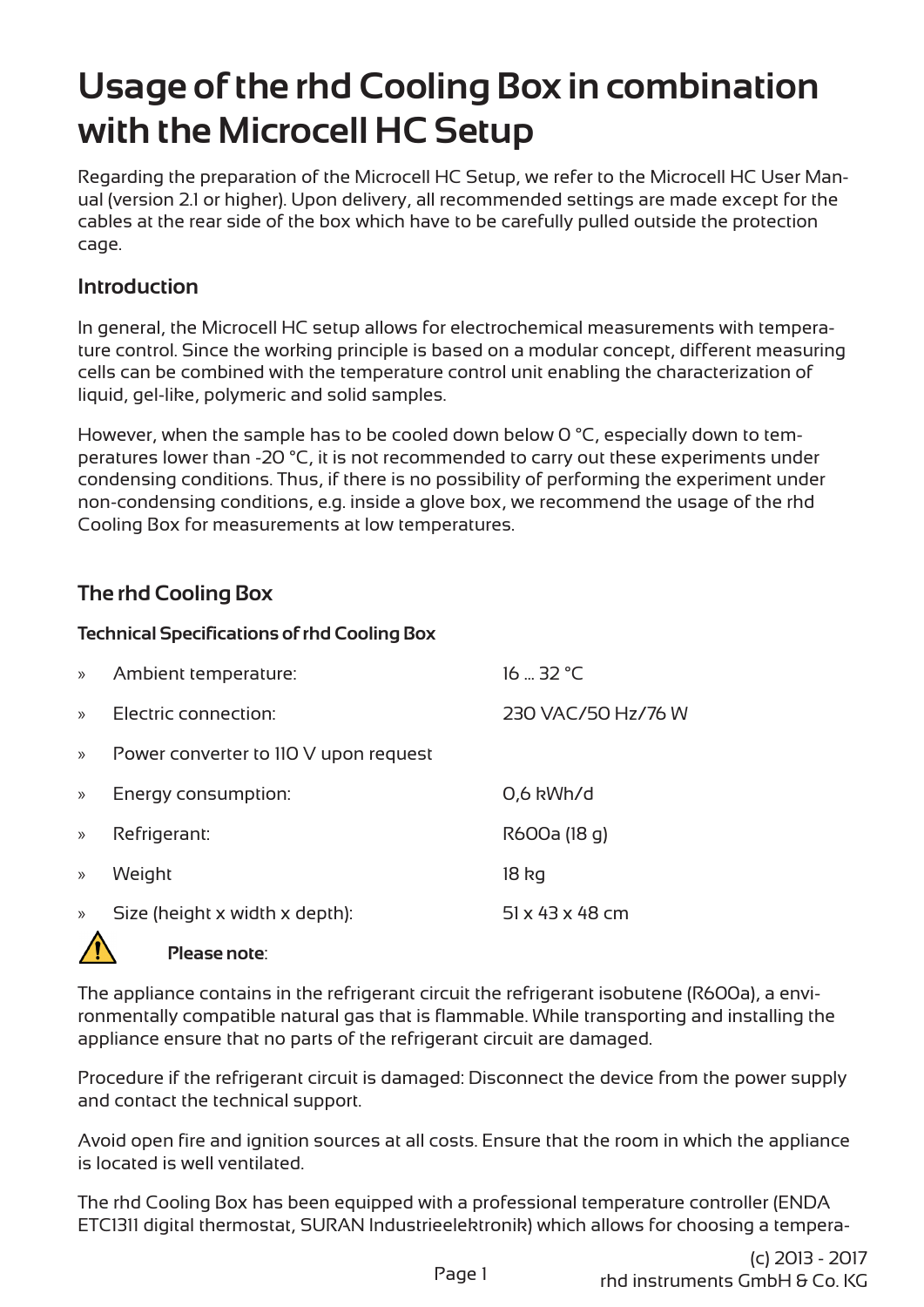# **Usage of the rhd Cooling Box in combination with the Microcell HC Setup**

Regarding the preparation of the Microcell HC Setup, we refer to the Microcell HC User Manual (version 2.1 or higher). Upon delivery, all recommended settings are made except for the cables at the rear side of the box which have to be carefully pulled outside the protection cage.

## **Introduction**

In general, the Microcell HC setup allows for electrochemical measurements with temperature control. Since the working principle is based on a modular concept, different measuring cells can be combined with the temperature control unit enabling the characterization of liquid, gel-like, polymeric and solid samples.

However, when the sample has to be cooled down below 0 °C, especially down to temperatures lower than -20 °C, it is not recommended to carry out these experiments under condensing conditions. Thus, if there is no possibility of performing the experiment under non-condensing conditions, e.g. inside a glove box, we recommend the usage of the rhd Cooling Box for measurements at low temperatures.

# **The rhd Cooling Box**

#### **Technical Specifications of rhd Cooling Box**

| $\gg$         | Ambient temperature:                  | $16 - 32$ °C                |
|---------------|---------------------------------------|-----------------------------|
| $\mathcal{P}$ | Electric connection:                  | 230 VAC/50 Hz/76 W          |
| $\gg$         | Power converter to 110 V upon request |                             |
| $\gg$         | Energy consumption:                   | 0,6 kWh/d                   |
| $\gg$         | Refrigerant:                          | R600a (18 g)                |
| $\mathcal{Y}$ | Weight                                | 18 kg                       |
| $\mathcal{Y}$ | Size (height x width x depth):        | $51 \times 43 \times 48$ cm |



**Please note**:

The appliance contains in the refrigerant circuit the refrigerant isobutene (R600a), a environmentally compatible natural gas that is flammable. While transporting and installing the appliance ensure that no parts of the refrigerant circuit are damaged.

Procedure if the refrigerant circuit is damaged: Disconnect the device from the power supply and contact the technical support.

Avoid open fire and ignition sources at all costs. Ensure that the room in which the appliance is located is well ventilated.

The rhd Cooling Box has been equipped with a professional temperature controller (ENDA ETC1311 digital thermostat, SURAN Industrieelektronik) which allows for choosing a tempera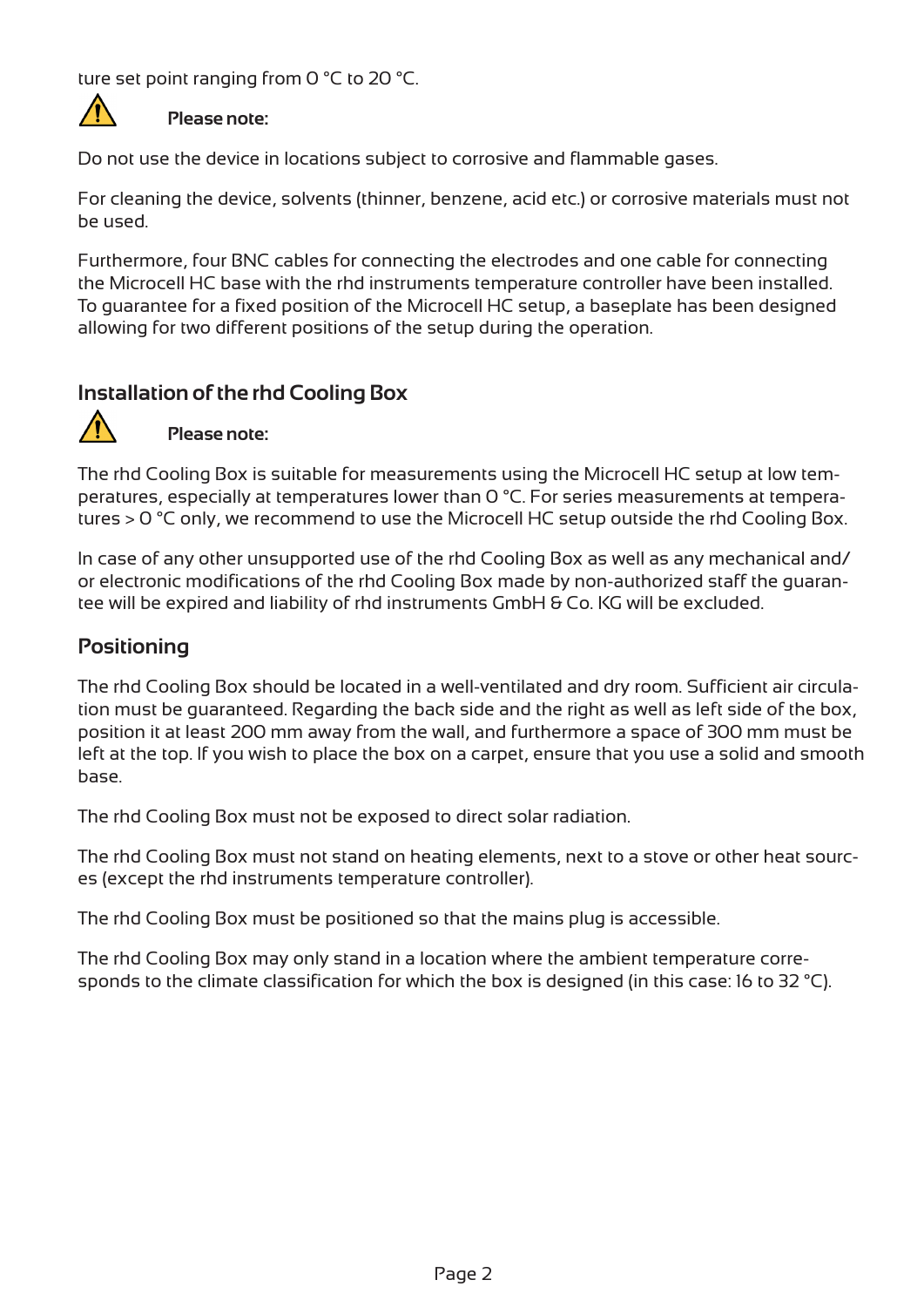ture set point ranging from 0 °C to 20 °C.



#### **Please note:**

Do not use the device in locations subject to corrosive and flammable gases.

For cleaning the device, solvents (thinner, benzene, acid etc.) or corrosive materials must not be used.

Furthermore, four BNC cables for connecting the electrodes and one cable for connecting the Microcell HC base with the rhd instruments temperature controller have been installed. To guarantee for a fixed position of the Microcell HC setup, a baseplate has been designed allowing for two different positions of the setup during the operation.

## **Installation of the rhd Cooling Box**



**Please note:**

The rhd Cooling Box is suitable for measurements using the Microcell HC setup at low temperatures, especially at temperatures lower than 0 °C. For series measurements at temperatures > 0 °C only, we recommend to use the Microcell HC setup outside the rhd Cooling Box.

In case of any other unsupported use of the rhd Cooling Box as well as any mechanical and/ or electronic modifications of the rhd Cooling Box made by non-authorized staff the guarantee will be expired and liability of rhd instruments GmbH & Co. KG will be excluded.

### **Positioning**

The rhd Cooling Box should be located in a well-ventilated and dry room. Sufficient air circulation must be guaranteed. Regarding the back side and the right as well as left side of the box, position it at least 200 mm away from the wall, and furthermore a space of 300 mm must be left at the top. If you wish to place the box on a carpet, ensure that you use a solid and smooth base.

The rhd Cooling Box must not be exposed to direct solar radiation.

The rhd Cooling Box must not stand on heating elements, next to a stove or other heat sources (except the rhd instruments temperature controller).

The rhd Cooling Box must be positioned so that the mains plug is accessible.

The rhd Cooling Box may only stand in a location where the ambient temperature corresponds to the climate classification for which the box is designed (in this case: 16 to 32 °C).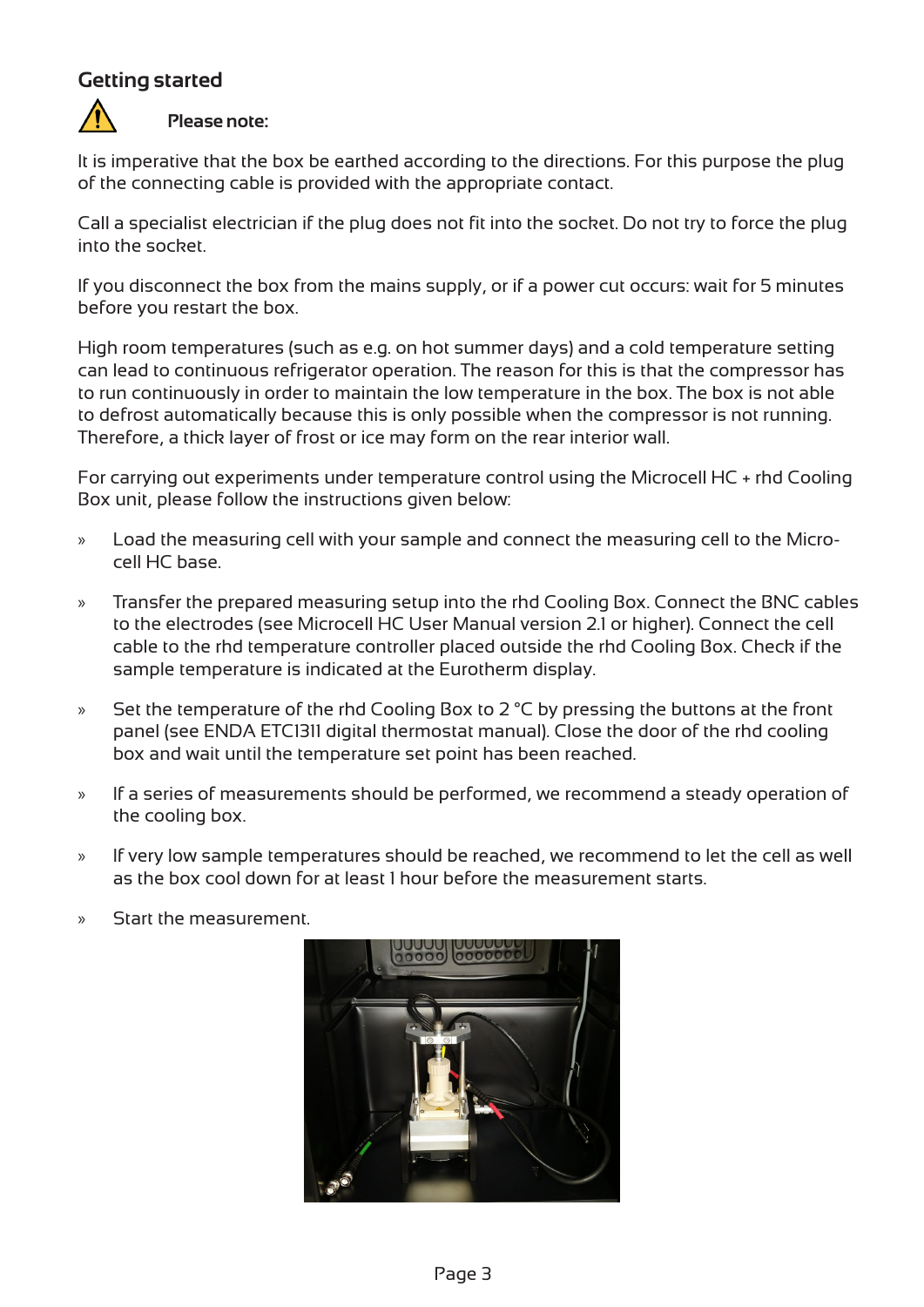# **Getting started**



#### **Please note:**

It is imperative that the box be earthed according to the directions. For this purpose the plug of the connecting cable is provided with the appropriate contact.

Call a specialist electrician if the plug does not fit into the socket. Do not try to force the plug into the socket.

If you disconnect the box from the mains supply, or if a power cut occurs: wait for 5 minutes before you restart the box.

High room temperatures (such as e.g. on hot summer days) and a cold temperature setting can lead to continuous refrigerator operation. The reason for this is that the compressor has to run continuously in order to maintain the low temperature in the box. The box is not able to defrost automatically because this is only possible when the compressor is not running. Therefore, a thick layer of frost or ice may form on the rear interior wall.

For carrying out experiments under temperature control using the Microcell HC + rhd Cooling Box unit, please follow the instructions given below:

- » Load the measuring cell with your sample and connect the measuring cell to the Microcell HC base.
- » Transfer the prepared measuring setup into the rhd Cooling Box. Connect the BNC cables to the electrodes (see Microcell HC User Manual version 2.1 or higher). Connect the cell cable to the rhd temperature controller placed outside the rhd Cooling Box. Check if the sample temperature is indicated at the Eurotherm display.
- » Set the temperature of the rhd Cooling Box to 2 °C by pressing the buttons at the front panel (see ENDA ETC1311 digital thermostat manual). Close the door of the rhd cooling box and wait until the temperature set point has been reached.
- » If a series of measurements should be performed, we recommend a steady operation of the cooling box.
- » If very low sample temperatures should be reached, we recommend to let the cell as well as the box cool down for at least 1 hour before the measurement starts.
- » Start the measurement.

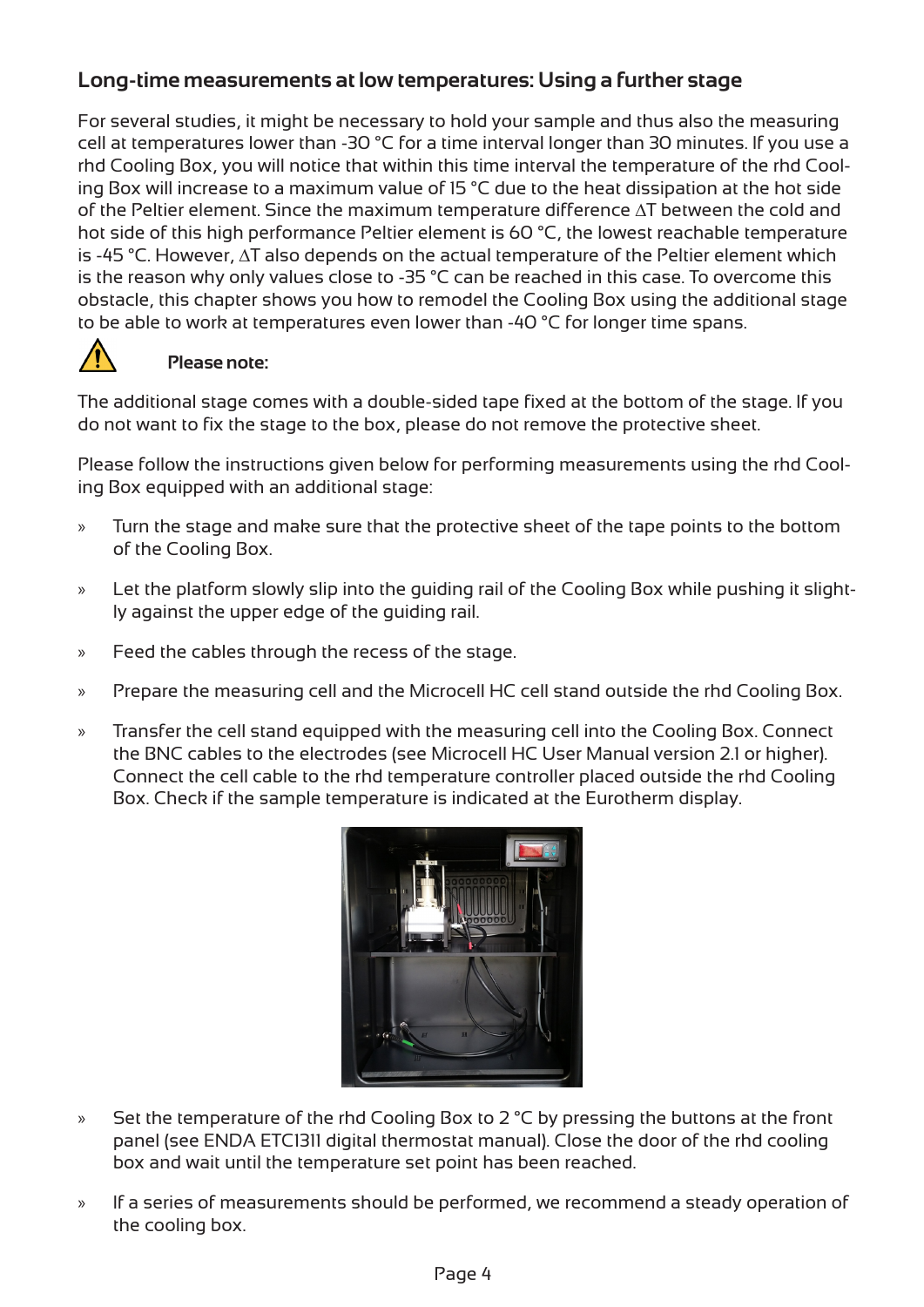# **Long-time measurements at low temperatures: Using a further stage**

For several studies, it might be necessary to hold your sample and thus also the measuring cell at temperatures lower than -30 °C for a time interval longer than 30 minutes. If you use a rhd Cooling Box, you will notice that within this time interval the temperature of the rhd Cooling Box will increase to a maximum value of 15 °C due to the heat dissipation at the hot side of the Peltier element. Since the maximum temperature difference ∆T between the cold and hot side of this high performance Peltier element is 60 °C, the lowest reachable temperature is -45 °C. However, ∆T also depends on the actual temperature of the Peltier element which is the reason why only values close to -35 °C can be reached in this case. To overcome this obstacle, this chapter shows you how to remodel the Cooling Box using the additional stage to be able to work at temperatures even lower than -40 °C for longer time spans.



#### **Please note:**

The additional stage comes with a double-sided tape fixed at the bottom of the stage. If you do not want to fix the stage to the box, please do not remove the protective sheet.

Please follow the instructions given below for performing measurements using the rhd Cooling Box equipped with an additional stage:

- » Turn the stage and make sure that the protective sheet of the tape points to the bottom of the Cooling Box.
- » Let the platform slowly slip into the guiding rail of the Cooling Box while pushing it slightly against the upper edge of the guiding rail.
- » Feed the cables through the recess of the stage.
- » Prepare the measuring cell and the Microcell HC cell stand outside the rhd Cooling Box.
- » Transfer the cell stand equipped with the measuring cell into the Cooling Box. Connect the BNC cables to the electrodes (see Microcell HC User Manual version 2.1 or higher). Connect the cell cable to the rhd temperature controller placed outside the rhd Cooling Box. Check if the sample temperature is indicated at the Eurotherm display.



- » Set the temperature of the rhd Cooling Box to 2 °C by pressing the buttons at the front panel (see ENDA ETC1311 digital thermostat manual). Close the door of the rhd cooling box and wait until the temperature set point has been reached.
- » If a series of measurements should be performed, we recommend a steady operation of the cooling box.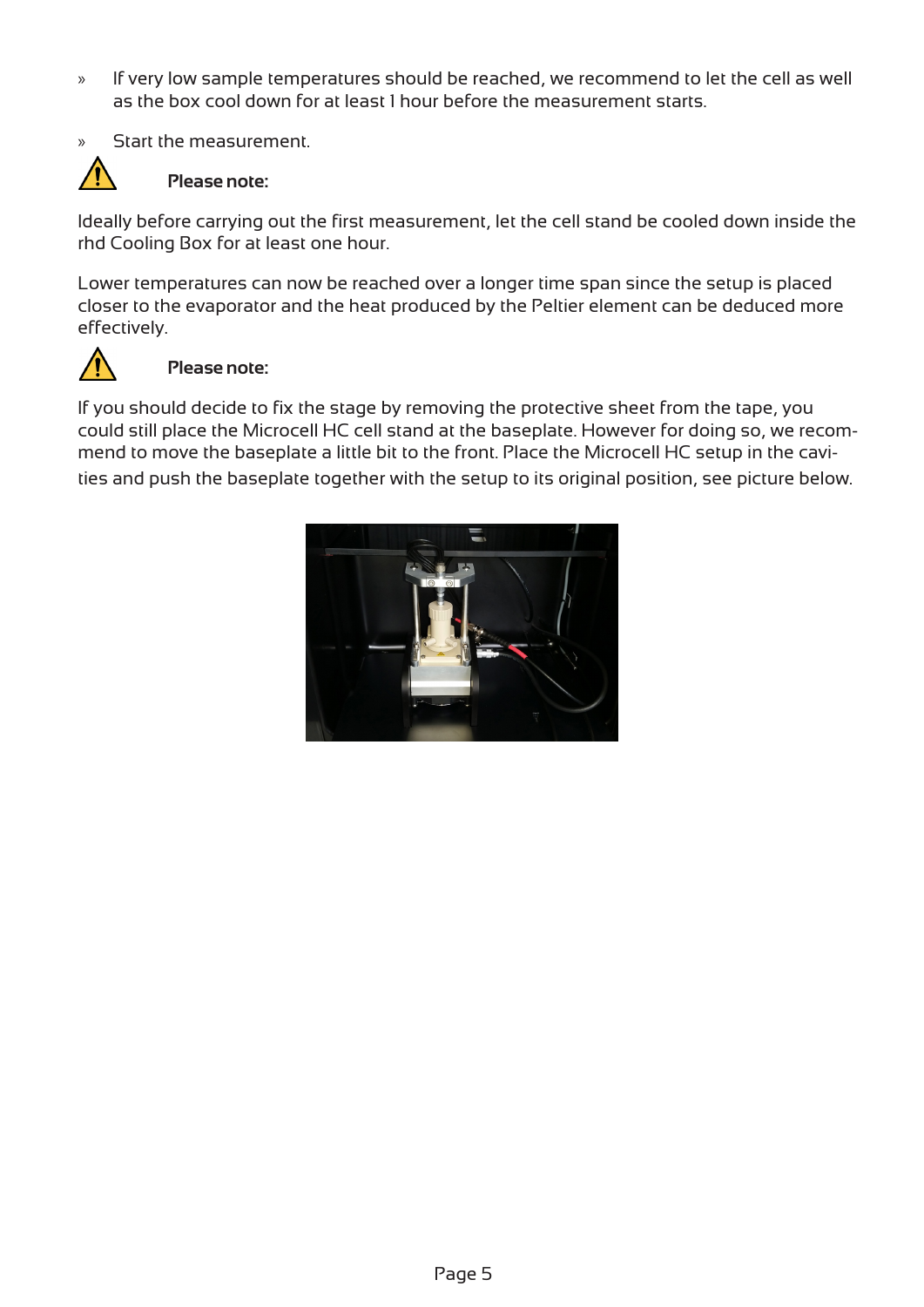- » If very low sample temperatures should be reached, we recommend to let the cell as well as the box cool down for at least 1 hour before the measurement starts.
- » Start the measurement.



#### **Please note:**

Ideally before carrying out the first measurement, let the cell stand be cooled down inside the rhd Cooling Box for at least one hour.

Lower temperatures can now be reached over a longer time span since the setup is placed closer to the evaporator and the heat produced by the Peltier element can be deduced more effectively.



#### **Please note:**

If you should decide to fix the stage by removing the protective sheet from the tape, you could still place the Microcell HC cell stand at the baseplate. However for doing so, we recommend to move the baseplate a little bit to the front. Place the Microcell HC setup in the cavities and push the baseplate together with the setup to its original position, see picture below.

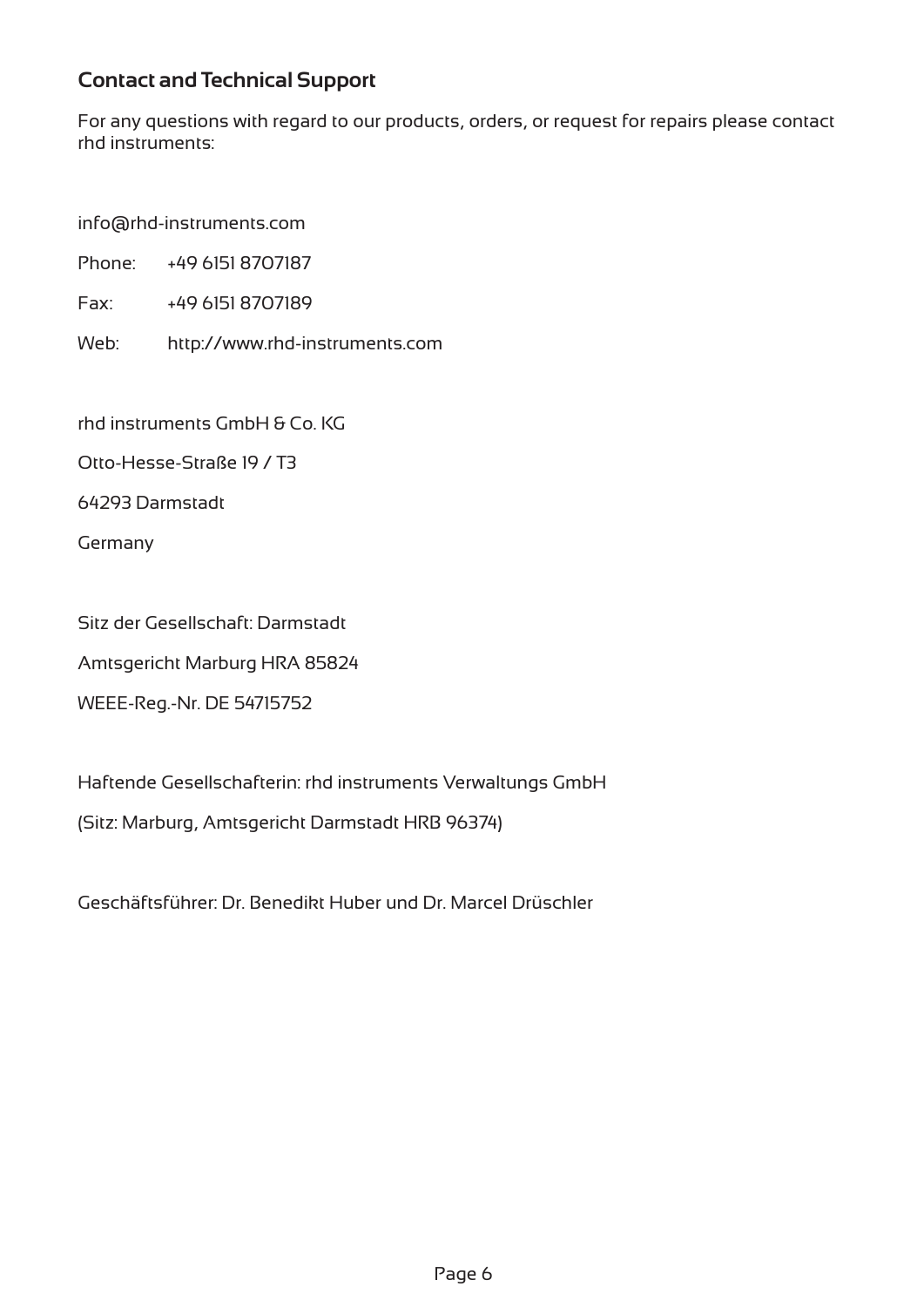# **Contact and Technical Support**

For any questions with regard to our products, orders, or request for repairs please contact rhd instruments:

info@rhd-instruments.com

Phone: +49 6151 8707187

Fax: +49 6151 8707189

Web: http://www.rhd-instruments.com

rhd instruments GmbH & Co. KG

Otto-Hesse-Straße 19 / T3

64293 Darmstadt

Germany

Sitz der Gesellschaft: Darmstadt

Amtsgericht Marburg HRA 85824

WEEE-Reg.-Nr. DE 54715752

Haftende Gesellschafterin: rhd instruments Verwaltungs GmbH (Sitz: Marburg, Amtsgericht Darmstadt HRB 96374)

Geschäftsführer: Dr. Benedikt Huber und Dr. Marcel Drüschler